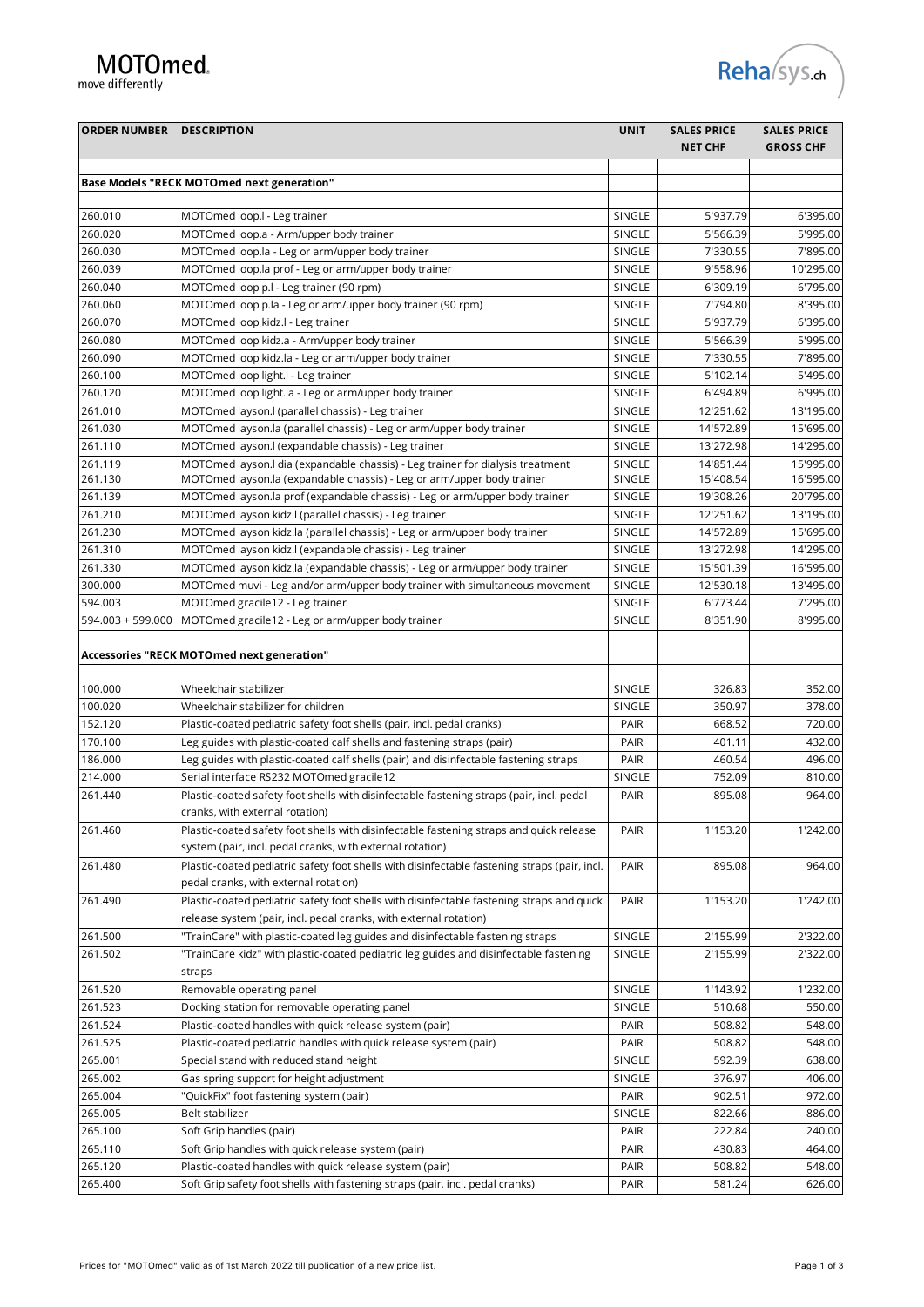## MOTOmed.

move differently

| <b>ORDER NUMBER DESCRIPTION</b> |                                                                                                                                                      | <b>UNIT</b> | <b>SALES PRICE</b><br><b>NET CHF</b> | <b>SALES PRICE</b><br><b>GROSS CHF</b> |
|---------------------------------|------------------------------------------------------------------------------------------------------------------------------------------------------|-------------|--------------------------------------|----------------------------------------|
|                                 | <b>Base Models "RECK MOTOmed next generation"</b>                                                                                                    |             |                                      |                                        |
|                                 |                                                                                                                                                      |             |                                      |                                        |
| 260.010                         | MOTOmed loop.I - Leg trainer                                                                                                                         | SINGLE      | 5'937.79                             | 6'395.00                               |
| 260.020                         | MOTOmed loop.a - Arm/upper body trainer                                                                                                              | SINGLE      | 5'566.39                             | 5'995.00                               |
| 260.030                         | MOTOmed loop.la - Leg or arm/upper body trainer                                                                                                      | SINGLE      | 7'330.55                             | 7'895.00                               |
| 260.039                         | MOTOmed loop.la prof - Leg or arm/upper body trainer                                                                                                 | SINGLE      | 9'558.96                             | 10'295.00                              |
| 260.040                         | MOTOmed loop p.l - Leg trainer (90 rpm)                                                                                                              | SINGLE      | 6'309.19                             | 6'795.00                               |
| 260.060                         | MOTOmed loop p.la - Leg or arm/upper body trainer (90 rpm)                                                                                           | SINGLE      | 7'794.80                             | 8'395.00                               |
| 260.070                         | MOTOmed loop kidz.l - Leg trainer                                                                                                                    | SINGLE      | 5'937.79                             | 6'395.00                               |
| 260.080                         | MOTOmed loop kidz.a - Arm/upper body trainer                                                                                                         | SINGLE      | 5'566.39                             | 5'995.00                               |
| 260.090                         | MOTOmed loop kidz.la - Leg or arm/upper body trainer                                                                                                 | SINGLE      | 7'330.55                             | 7'895.00                               |
| 260.100                         | MOTOmed loop light.l - Leg trainer                                                                                                                   | SINGLE      | 5'102.14                             | 5'495.00                               |
| 260.120                         | MOTOmed loop light.la - Leg or arm/upper body trainer                                                                                                | SINGLE      | 6'494.89                             | 6'995.00                               |
| 261.010                         | MOTOmed layson.l (parallel chassis) - Leg trainer                                                                                                    | SINGLE      | 12'251.62                            | 13'195.00                              |
| 261.030                         | MOTOmed layson.la (parallel chassis) - Leg or arm/upper body trainer                                                                                 | SINGLE      | 14'572.89                            | 15'695.00                              |
| 261.110                         | MOTOmed layson.I (expandable chassis) - Leg trainer                                                                                                  | SINGLE      | 13'272.98                            | 14'295.00                              |
| 261.119                         | MOTOmed layson.I dia (expandable chassis) - Leg trainer for dialysis treatment                                                                       | SINGLE      | 14'851.44                            | 15'995.00                              |
| 261.130                         | MOTOmed layson.la (expandable chassis) - Leg or arm/upper body trainer                                                                               | SINGLE      | 15'408.54                            | 16'595.00                              |
| 261.139                         | MOTOmed layson.la prof (expandable chassis) - Leg or arm/upper body trainer                                                                          | SINGLE      | 19'308.26                            | 20'795.00                              |
| 261.210                         | MOTOmed layson kidz.l (parallel chassis) - Leg trainer                                                                                               | SINGLE      | 12'251.62                            | 13'195.00                              |
| 261.230                         | MOTOmed layson kidz.la (parallel chassis) - Leg or arm/upper body trainer                                                                            | SINGLE      | 14'572.89                            | 15'695.00                              |
| 261.310                         | MOTOmed layson kidz.l (expandable chassis) - Leg trainer                                                                                             | SINGLE      | 13'272.98                            | 14'295.00                              |
| 261.330                         | MOTOmed layson kidz.la (expandable chassis) - Leg or arm/upper body trainer                                                                          | SINGLE      | 15'501.39                            | 16'595.00                              |
| 300.000                         | MOTOmed muvi - Leg and/or arm/upper body trainer with simultaneous movement                                                                          | SINGLE      | 12'530.18                            | 13'495.00                              |
| 594.003                         | MOTOmed gracile12 - Leg trainer                                                                                                                      | SINGLE      | 6'773.44                             | 7'295.00                               |
| 594.003 + 599.000               | MOTOmed gracile12 - Leg or arm/upper body trainer                                                                                                    | SINGLE      | 8'351.90                             | 8'995.00                               |
|                                 | Accessories "RECK MOTOmed next generation"                                                                                                           |             |                                      |                                        |
|                                 |                                                                                                                                                      |             |                                      |                                        |
| 100.000                         | Wheelchair stabilizer                                                                                                                                | SINGLE      | 326.83                               | 352.00                                 |
| 100.020                         | Wheelchair stabilizer for children                                                                                                                   | SINGLE      | 350.97                               | 378.00                                 |
| 152.120                         | Plastic-coated pediatric safety foot shells (pair, incl. pedal cranks)                                                                               | PAIR        | 668.52                               | 720.00                                 |
| 170.100                         | Leg guides with plastic-coated calf shells and fastening straps (pair)                                                                               | PAIR        | 401.11                               | 432.00                                 |
| 186.000                         | Leg guides with plastic-coated calf shells (pair) and disinfectable fastening straps                                                                 | PAIR        | 460.54                               | 496.00                                 |
| 214.000                         | Serial interface RS232 MOTOmed gracile12                                                                                                             | SINGLE      | 752.09                               | 810.00                                 |
| 261.440                         | Plastic-coated safety foot shells with disinfectable fastening straps (pair, incl. pedal                                                             | PAIR        | 895.08                               | 964.00                                 |
|                                 | cranks, with external rotation)                                                                                                                      |             |                                      |                                        |
| 261.460                         | Plastic-coated safety foot shells with disinfectable fastening straps and quick release<br>system (pair, incl. pedal cranks, with external rotation) | PAIR        | 1'153.20                             | 1'242.00                               |
| 261.480                         | Plastic-coated pediatric safety foot shells with disinfectable fastening straps (pair, incl.                                                         | PAIR        |                                      |                                        |
|                                 | pedal cranks, with external rotation)                                                                                                                |             | 895.08                               | 964.00                                 |
| 261.490                         | Plastic-coated pediatric safety foot shells with disinfectable fastening straps and quick                                                            | PAIR        | 1'153.20                             | 1'242.00                               |
|                                 | release system (pair, incl. pedal cranks, with external rotation)                                                                                    |             |                                      |                                        |
| 261.500                         | "TrainCare" with plastic-coated leg guides and disinfectable fastening straps                                                                        | SINGLE      | 2'155.99                             | 2'322.00                               |
| 261.502                         | "TrainCare kidz" with plastic-coated pediatric leg guides and disinfectable fastening<br>straps                                                      | SINGLE      | 2'155.99                             | 2'322.00                               |
| 261.520                         | Removable operating panel                                                                                                                            | SINGLE      | 1'143.92                             | 1'232.00                               |
| 261.523                         | Docking station for removable operating panel                                                                                                        | SINGLE      | 510.68                               | 550.00                                 |
| 261.524                         | Plastic-coated handles with quick release system (pair)                                                                                              | PAIR        | 508.82                               | 548.00                                 |
| 261.525                         | Plastic-coated pediatric handles with quick release system (pair)                                                                                    | PAIR        | 508.82                               | 548.00                                 |
| 265.001                         | Special stand with reduced stand height                                                                                                              | SINGLE      | 592.39                               | 638.00                                 |
| 265.002                         | Gas spring support for height adjustment                                                                                                             | SINGLE      | 376.97                               | 406.00                                 |
| 265.004                         | "QuickFix" foot fastening system (pair)                                                                                                              | PAIR        | 902.51                               | 972.00                                 |
| 265.005                         | Belt stabilizer                                                                                                                                      | SINGLE      | 822.66                               | 886.00                                 |
| 265.100                         | Soft Grip handles (pair)                                                                                                                             | PAIR        | 222.84                               | 240.00                                 |

265.110 Soft Grip handles with quick release system (pair) PAIR 430.83 464.00 265.120 Plastic-coated handles with quick release system (pair) PAIR 508.82 548.00 265.400 Soft Grip safety foot shells with fastening straps (pair, incl. pedal cranks) PAIR 581.24 626.00

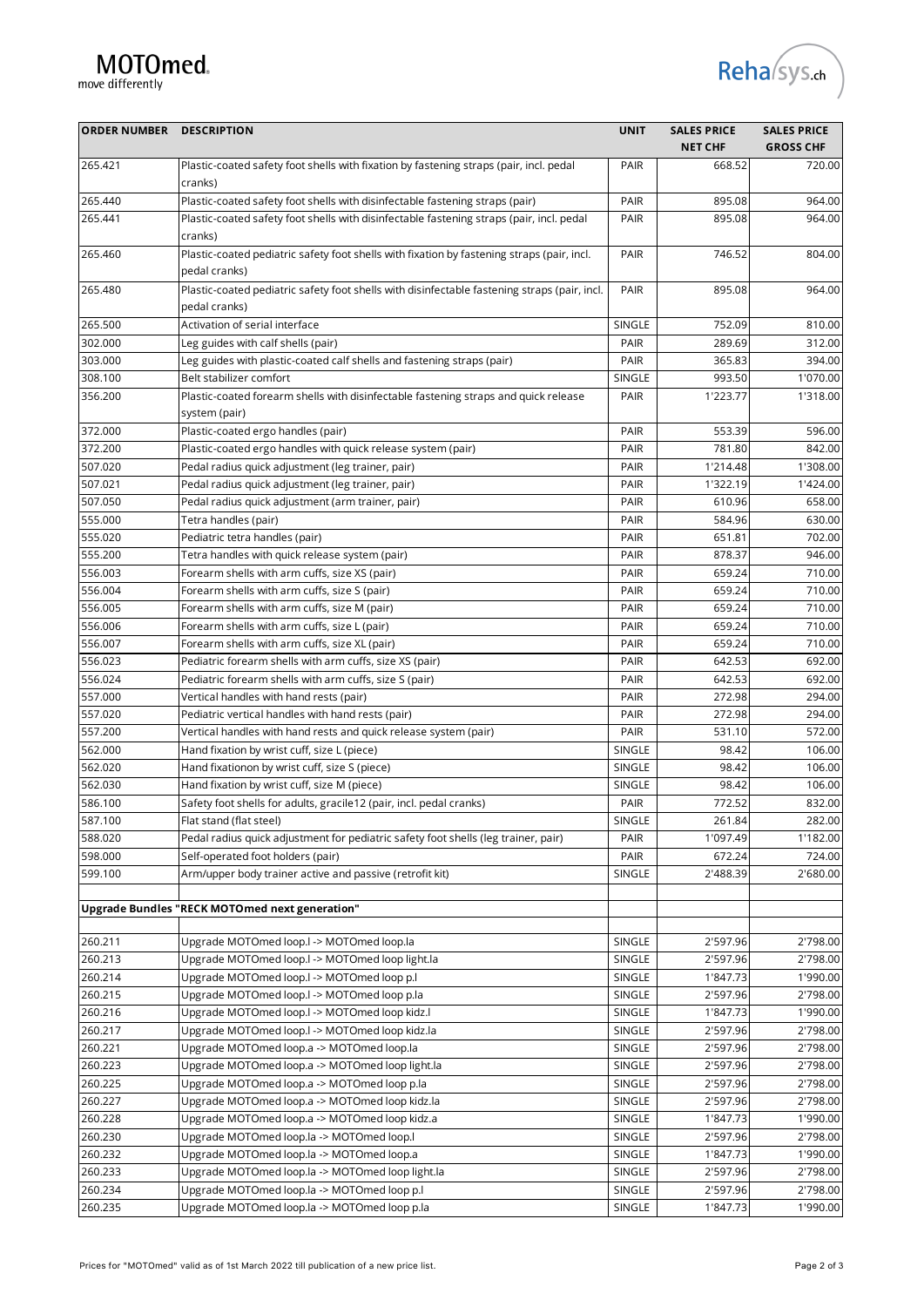## MOTOmed.



| <b>ORDER NUMBER DESCRIPTION</b> |                                                                                                               | <b>UNIT</b> | <b>SALES PRICE</b><br><b>NET CHF</b> | <b>SALES PRICE</b><br><b>GROSS CHF</b> |
|---------------------------------|---------------------------------------------------------------------------------------------------------------|-------------|--------------------------------------|----------------------------------------|
| 265.421                         | Plastic-coated safety foot shells with fixation by fastening straps (pair, incl. pedal<br>cranks)             | PAIR        | 668.52                               | 720.00                                 |
| 265.440                         | Plastic-coated safety foot shells with disinfectable fastening straps (pair)                                  | PAIR        | 895.08                               | 964.00                                 |
| 265.441                         | Plastic-coated safety foot shells with disinfectable fastening straps (pair, incl. pedal<br>cranks)           | PAIR        | 895.08                               | 964.00                                 |
| 265.460                         | Plastic-coated pediatric safety foot shells with fixation by fastening straps (pair, incl.<br>pedal cranks)   | PAIR        | 746.52                               | 804.00                                 |
| 265.480                         | Plastic-coated pediatric safety foot shells with disinfectable fastening straps (pair, incl.<br>pedal cranks) | PAIR        | 895.08                               | 964.00                                 |
| 265.500                         | Activation of serial interface                                                                                | SINGLE      | 752.09                               | 810.00                                 |
| 302.000                         | Leg guides with calf shells (pair)                                                                            | PAIR        | 289.69                               | 312.00                                 |
| 303.000                         | Leg guides with plastic-coated calf shells and fastening straps (pair)                                        | PAIR        | 365.83                               | 394.00                                 |
| 308.100                         | Belt stabilizer comfort                                                                                       | SINGLE      | 993.50                               | 1'070.00                               |
| 356.200                         | Plastic-coated forearm shells with disinfectable fastening straps and quick release<br>system (pair)          | PAIR        | 1'223.77                             | 1'318.00                               |
| 372.000                         | Plastic-coated ergo handles (pair)                                                                            | PAIR        | 553.39                               | 596.00                                 |
| 372.200                         | Plastic-coated ergo handles with quick release system (pair)                                                  | PAIR        | 781.80                               | 842.00                                 |
| 507.020                         | Pedal radius quick adjustment (leg trainer, pair)                                                             | PAIR        | 1'214.48                             | 1'308.00                               |
| 507.021                         | Pedal radius quick adjustment (leg trainer, pair)                                                             | PAIR        | 1'322.19                             | 1'424.00                               |
| 507.050                         | Pedal radius quick adjustment (arm trainer, pair)                                                             | PAIR        | 610.96                               | 658.00                                 |
| 555.000                         | Tetra handles (pair)                                                                                          | PAIR        | 584.96                               | 630.00                                 |
| 555.020                         | Pediatric tetra handles (pair)                                                                                | PAIR        | 651.81                               | 702.00                                 |
| 555.200                         | Tetra handles with quick release system (pair)                                                                | PAIR        | 878.37                               | 946.00                                 |
| 556.003                         | Forearm shells with arm cuffs, size XS (pair)                                                                 | PAIR        | 659.24                               | 710.00                                 |
| 556.004                         | Forearm shells with arm cuffs, size S (pair)                                                                  | PAIR        | 659.24                               | 710.00                                 |
| 556.005                         | Forearm shells with arm cuffs, size M (pair)                                                                  | PAIR        | 659.24                               | 710.00                                 |
| 556.006                         | Forearm shells with arm cuffs, size L (pair)                                                                  | PAIR        | 659.24                               | 710.00                                 |
| 556.007                         | Forearm shells with arm cuffs, size XL (pair)                                                                 | PAIR        | 659.24                               | 710.00                                 |
| 556.023                         | Pediatric forearm shells with arm cuffs, size XS (pair)                                                       | PAIR        | 642.53                               | 692.00                                 |
| 556.024                         | Pediatric forearm shells with arm cuffs, size S (pair)                                                        | PAIR        | 642.53                               | 692.00                                 |
| 557.000                         | Vertical handles with hand rests (pair)                                                                       | PAIR        | 272.98                               | 294.00                                 |
| 557.020                         | Pediatric vertical handles with hand rests (pair)                                                             | PAIR        | 272.98                               | 294.00                                 |
| 557.200                         | Vertical handles with hand rests and quick release system (pair)                                              | PAIR        | 531.10                               | 572.00                                 |
| 562.000                         | Hand fixation by wrist cuff, size L (piece)                                                                   | SINGLE      | 98.42                                | 106.00                                 |
| 562.020                         | Hand fixationon by wrist cuff, size S (piece)                                                                 | SINGLE      | 98.42                                | 106.00                                 |
| 562.030                         | Hand fixation by wrist cuff, size M (piece)                                                                   | SINGLE      | 98.42                                | 106.00                                 |
| 586.100                         | Safety foot shells for adults, gracile12 (pair, incl. pedal cranks)                                           | PAIR        | 772.52                               | 832.00                                 |
| 587.100                         | Flat stand (flat steel)                                                                                       | SINGLE      | 261.84                               | 282.00                                 |
| 588.020                         | Pedal radius quick adjustment for pediatric safety foot shells (leg trainer, pair)                            | PAIR        | 1'097.49                             | 1'182.00                               |
| 598.000                         | Self-operated foot holders (pair)                                                                             | PAIR        | 672.24                               | 724.00                                 |
| 599.100                         | Arm/upper body trainer active and passive (retrofit kit)                                                      | SINGLE      | 2'488.39                             | 2'680.00                               |
|                                 | Upgrade Bundles "RECK MOTOmed next generation"                                                                |             |                                      |                                        |
|                                 |                                                                                                               |             |                                      |                                        |
| 260.211                         | Upgrade MOTOmed loop.I -> MOTOmed loop.Ia                                                                     | SINGLE      | 2'597.96                             | 2'798.00                               |
| 260.213                         | Upgrade MOTOmed loop.I -> MOTOmed loop light.la                                                               | SINGLE      | 2'597.96                             | 2'798.00                               |
| 260.214                         | Upgrade MOTOmed loop.I -> MOTOmed loop p.I                                                                    | SINGLE      | 1'847.73                             | 1'990.00                               |
| 260.215                         | Upgrade MOTOmed loop.I -> MOTOmed loop p.la                                                                   | SINGLE      | 2'597.96                             | 2'798.00                               |
| 260.216                         | Upgrade MOTOmed loop.I -> MOTOmed loop kidz.I                                                                 | SINGLE      | 1'847.73                             | 1'990.00                               |
| 260.217                         | Upgrade MOTOmed loop.I -> MOTOmed loop kidz.la                                                                | SINGLE      | 2'597.96                             | 2'798.00                               |
| 260.221                         | Upgrade MOTOmed loop.a -> MOTOmed loop.la                                                                     | SINGLE      | 2'597.96                             | 2'798.00                               |
| 260.223                         | Upgrade MOTOmed loop.a -> MOTOmed loop light.la                                                               | SINGLE      | 2'597.96                             | 2'798.00                               |
| 260.225                         | Upgrade MOTOmed loop.a -> MOTOmed loop p.la                                                                   | SINGLE      | 2'597.96                             | 2'798.00                               |
| 260.227                         | Upgrade MOTOmed loop.a -> MOTOmed loop kidz.la                                                                | SINGLE      | 2'597.96                             | 2'798.00                               |
| 260.228                         | Upgrade MOTOmed loop.a -> MOTOmed loop kidz.a                                                                 | SINGLE      | 1'847.73                             | 1'990.00                               |
| 260.230                         | Upgrade MOTOmed loop.la -> MOTOmed loop.l                                                                     | SINGLE      | 2'597.96                             | 2'798.00                               |
| 260.232                         | Upgrade MOTOmed loop.la -> MOTOmed loop.a                                                                     | SINGLE      | 1'847.73                             | 1'990.00                               |
| 260.233                         | Upgrade MOTOmed loop.la -> MOTOmed loop light.la                                                              | SINGLE      | 2'597.96                             | 2'798.00                               |
| 260.234                         | Upgrade MOTOmed loop.la -> MOTOmed loop p.l                                                                   | SINGLE      | 2'597.96                             | 2'798.00                               |
| 260.235                         | Upgrade MOTOmed loop.la -> MOTOmed loop p.la                                                                  | SINGLE      | 1'847.73                             | 1'990.00                               |